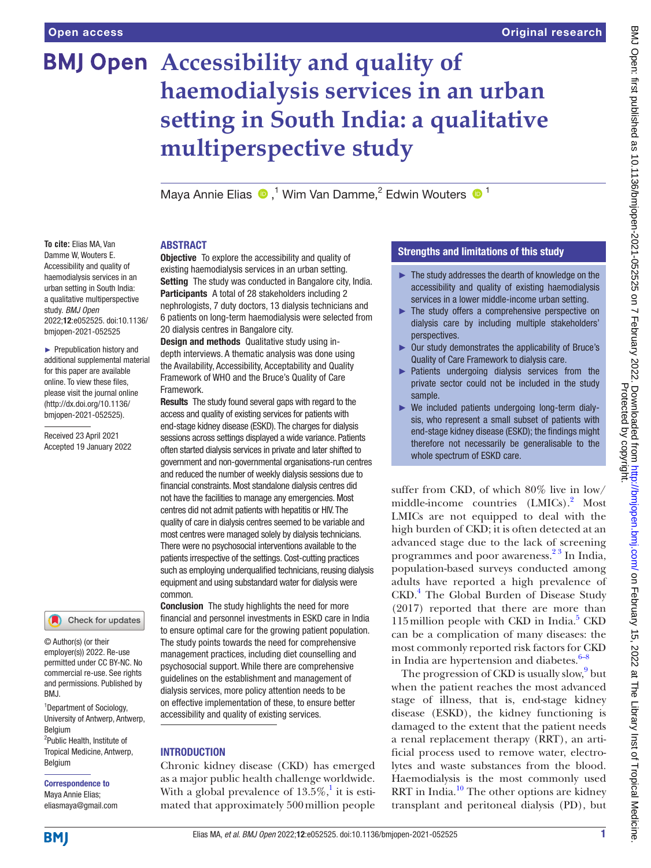# **BMJ Open** Accessibility and quality of **haemodialysis services in an urban setting in South India: a qualitative multiperspective study**

Maya Annie Elias <sup>®</sup>,<sup>1</sup> Wim Van Damme,<sup>2</sup> Edwin Wouters <sup>® 1</sup>

## ABSTRACT

**Objective** To explore the accessibility and quality of existing haemodialysis services in an urban setting. Setting The study was conducted in Bangalore city, India. Participants A total of 28 stakeholders including 2 nephrologists, 7 duty doctors, 13 dialysis technicians and 6 patients on long-term haemodialysis were selected from 20 dialysis centres in Bangalore city.

Design and methods Qualitative study using indepth interviews. A thematic analysis was done using the Availability, Accessibility, Acceptability and Quality Framework of WHO and the Bruce's Quality of Care Framework.

**Results** The study found several gaps with regard to the access and quality of existing services for patients with end-stage kidney disease (ESKD). The charges for dialysis sessions across settings displayed a wide variance. Patients often started dialysis services in private and later shifted to government and non-governmental organisations-run centres and reduced the number of weekly dialysis sessions due to financial constraints. Most standalone dialysis centres did not have the facilities to manage any emergencies. Most centres did not admit patients with hepatitis or HIV. The quality of care in dialysis centres seemed to be variable and most centres were managed solely by dialysis technicians. There were no psychosocial interventions available to the patients irrespective of the settings. Cost-cutting practices such as employing underqualified technicians, reusing dialysis equipment and using substandard water for dialysis were common.

**Conclusion** The study highlights the need for more financial and personnel investments in ESKD care in India to ensure optimal care for the growing patient population. The study points towards the need for comprehensive management practices, including diet counselling and psychosocial support. While there are comprehensive guidelines on the establishment and management of dialysis services, more policy attention needs to be on effective implementation of these, to ensure better accessibility and quality of existing services.

## INTRODUCTION

Chronic kidney disease (CKD) has emerged as a major public health challenge worldwide. With a global prevalence of  $13.5\%$ ,<sup>1</sup> it is estimated that approximately 500million people

## Strengths and limitations of this study

- ► The study addresses the dearth of knowledge on the accessibility and quality of existing haemodialysis services in a lower middle-income urban setting.
- $\blacktriangleright$  The study offers a comprehensive perspective on dialysis care by including multiple stakeholders' perspectives.
- ► Our study demonstrates the applicability of Bruce's Quality of Care Framework to dialysis care.
- ► Patients undergoing dialysis services from the private sector could not be included in the study sample.
- ► We included patients undergoing long-term dialysis, who represent a small subset of patients with end-stage kidney disease (ESKD); the findings might therefore not necessarily be generalisable to the whole spectrum of ESKD care.

suffer from CKD, of which 80% live in low/ middle-income countries (LMICs).<sup>[2](#page-6-1)</sup> Most LMICs are not equipped to deal with the high burden of CKD; it is often detected at an advanced stage due to the lack of screening programmes and poor awareness.<sup>23</sup> In India, population-based surveys conducted among adults have reported a high prevalence of CKD.[4](#page-6-2) The Global Burden of Disease Study (2017) reported that there are more than 115 million people with CKD in India. $5$  CKD can be a complication of many diseases: the most commonly reported risk factors for CKD in India are hypertension and diabetes. $6-8$ 

The progression of CKD is usually slow,<sup>[9](#page-7-1)</sup> but when the patient reaches the most advanced stage of illness, that is, end-stage kidney disease (ESKD), the kidney functioning is damaged to the extent that the patient needs a renal replacement therapy (RRT), an artificial process used to remove water, electrolytes and waste substances from the blood. Haemodialysis is the most commonly used RRT in India.<sup>[10](#page-7-2)</sup> The other options are kidney transplant and peritoneal dialysis (PD), but

**To cite:** Elias MA, Van Damme W, Wouters E. Accessibility and quality of haemodialysis services in an urban setting in South India: a qualitative multiperspective study. *BMJ Open* 2022;12:e052525. doi:10.1136/ bmjopen-2021-052525

► Prepublication history and additional supplemental material for this paper are available online. To view these files, please visit the journal online [\(http://dx.doi.org/10.1136/](http://dx.doi.org/10.1136/bmjopen-2021-052525) [bmjopen-2021-052525](http://dx.doi.org/10.1136/bmjopen-2021-052525)).

Received 23 April 2021 Accepted 19 January 2022

Check for updates

© Author(s) (or their employer(s)) 2022. Re-use permitted under CC BY-NC. No commercial re-use. See rights and permissions. Published by BMJ.

<sup>1</sup>Department of Sociology, University of Antwerp, Antwerp, **Belgium** <sup>2</sup>Public Health, Institute of Tropical Medicine, Antwerp, Belgium

#### Correspondence to Maya Annie Elias; eliasmaya@gmail.com

**BMI**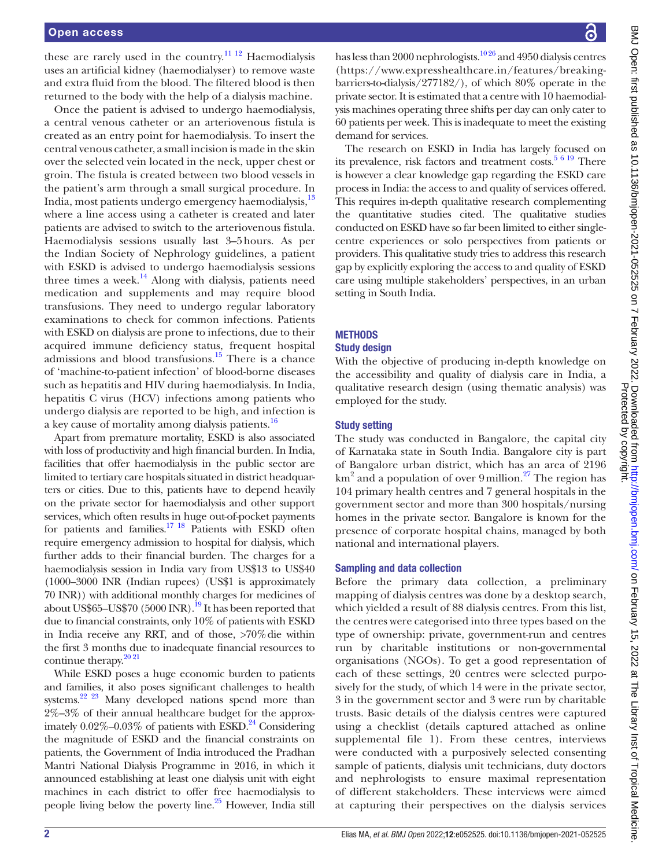these are rarely used in the country.<sup>11 12</sup> Haemodialysis uses an artificial kidney (haemodialyser) to remove waste and extra fluid from the blood. The filtered blood is then returned to the body with the help of a dialysis machine.

Once the patient is advised to undergo haemodialysis, a central venous catheter or an arteriovenous fistula is created as an entry point for haemodialysis. To insert the central venous catheter, a small incision is made in the skin over the selected vein located in the neck, upper chest or groin. The fistula is created between two blood vessels in the patient's arm through a small surgical procedure. In India, most patients undergo emergency haemodialysis,<sup>13</sup> where a line access using a catheter is created and later patients are advised to switch to the arteriovenous fistula. Haemodialysis sessions usually last 3–5hours. As per the Indian Society of Nephrology guidelines, a patient with ESKD is advised to undergo haemodialysis sessions three times a week. $^{14}$  Along with dialysis, patients need medication and supplements and may require blood transfusions. They need to undergo regular laboratory examinations to check for common infections. Patients with ESKD on dialysis are prone to infections, due to their acquired immune deficiency status, frequent hospital admissions and blood transfusions. $15$  There is a chance of 'machine-to-patient infection' of blood-borne diseases such as hepatitis and HIV during haemodialysis. In India, hepatitis C virus (HCV) infections among patients who undergo dialysis are reported to be high, and infection is a key cause of mortality among dialysis patients.<sup>[16](#page-7-7)</sup>

Apart from premature mortality, ESKD is also associated with loss of productivity and high financial burden. In India, facilities that offer haemodialysis in the public sector are limited to tertiary care hospitals situated in district headquarters or cities. Due to this, patients have to depend heavily on the private sector for haemodialysis and other support services, which often results in huge out-of-pocket payments for patients and families.<sup>17</sup> <sup>18</sup> Patients with ESKD often require emergency admission to hospital for dialysis, which further adds to their financial burden. The charges for a haemodialysis session in India vary from US\$13 to US\$40 (1000–3000 INR (Indian rupees) (US\$1 is approximately 70 INR)) with additional monthly charges for medicines of about US\$65–US\$70 (5000 INR).<sup>19</sup> It has been reported that due to financial constraints, only 10% of patients with ESKD in India receive any RRT, and of those, >70%die within the first 3 months due to inadequate financial resources to continue therapy.<sup>20 21</sup>

While ESKD poses a huge economic burden to patients and families, it also poses significant challenges to health systems. $22\frac{23}{1}$  Many developed nations spend more than 2%–3% of their annual healthcare budget for the approximately  $0.02\%$ – $0.03\%$  of patients with ESKD.<sup>24</sup> Considering the magnitude of ESKD and the financial constraints on patients, the Government of India introduced the Pradhan Mantri National Dialysis Programme in 2016, in which it announced establishing at least one dialysis unit with eight machines in each district to offer free haemodialysis to people living below the poverty line.<sup>25</sup> However, India still has less than 2000 nephrologists.<sup>1026</sup> and 4950 dialysis centres [\(https://www.expresshealthcare.in/features/breaking](https://www.expresshealthcare.in/features/breaking-barriers-to-dialysis/277182/)[barriers-to-dialysis/277182/](https://www.expresshealthcare.in/features/breaking-barriers-to-dialysis/277182/)), of which 80% operate in the private sector. It is estimated that a centre with 10 haemodialysis machines operating three shifts per day can only cater to 60 patients per week. This is inadequate to meet the existing demand for services.

The research on ESKD in India has largely focused on its prevalence, risk factors and treatment  $\cos s$ .<sup>5 6 19</sup> There is however a clear knowledge gap regarding the ESKD care process in India: the access to and quality of services offered. This requires in-depth qualitative research complementing the quantitative studies cited. The qualitative studies conducted on ESKD have so far been limited to either singlecentre experiences or solo perspectives from patients or providers. This qualitative study tries to address this research gap by explicitly exploring the access to and quality of ESKD care using multiple stakeholders' perspectives, in an urban setting in South India.

## **METHODS**

#### Study design

With the objective of producing in-depth knowledge on the accessibility and quality of dialysis care in India, a qualitative research design (using thematic analysis) was employed for the study.

## Study setting

The study was conducted in Bangalore, the capital city of Karnataka state in South India. Bangalore city is part of Bangalore urban district, which has an area of 2196 km<sup>2</sup> and a population of over 9 million.<sup>27</sup> The region has 104 primary health centres and 7 general hospitals in the government sector and more than 300 hospitals/nursing homes in the private sector. Bangalore is known for the presence of corporate hospital chains, managed by both national and international players.

## Sampling and data collection

Before the primary data collection, a preliminary mapping of dialysis centres was done by a desktop search, which yielded a result of 88 dialysis centres. From this list, the centres were categorised into three types based on the type of ownership: private, government-run and centres run by charitable institutions or non-governmental organisations (NGOs). To get a good representation of each of these settings, 20 centres were selected purposively for the study, of which 14 were in the private sector, 3 in the government sector and 3 were run by charitable trusts. Basic details of the dialysis centres were captured using a checklist (details captured attached as [online](https://dx.doi.org/10.1136/bmjopen-2021-052525)  [supplemental file 1](https://dx.doi.org/10.1136/bmjopen-2021-052525)). From these centres, interviews were conducted with a purposively selected consenting sample of patients, dialysis unit technicians, duty doctors and nephrologists to ensure maximal representation of different stakeholders. These interviews were aimed at capturing their perspectives on the dialysis services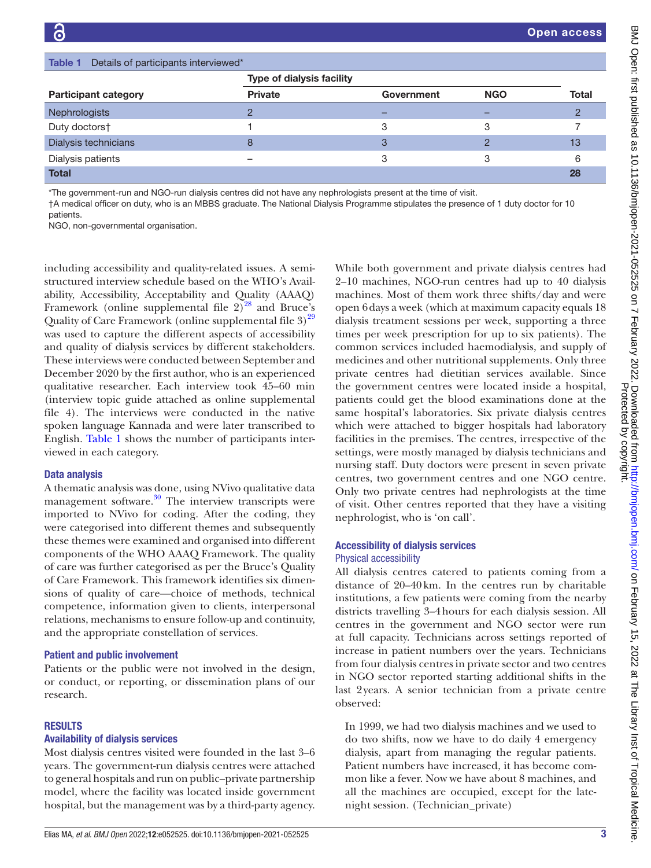<span id="page-2-0"></span>

| Details of participants interviewed*<br>Table 1 |                                  |            |            |       |
|-------------------------------------------------|----------------------------------|------------|------------|-------|
|                                                 | <b>Type of dialysis facility</b> |            |            |       |
| <b>Participant category</b>                     | <b>Private</b>                   | Government | <b>NGO</b> | Total |
| Nephrologists                                   |                                  |            |            |       |
| Duty doctors†                                   |                                  | 3          | 3          |       |
| Dialysis technicians                            |                                  |            |            | 13    |
| Dialysis patients                               |                                  | ◠          |            | 6     |
| <b>Total</b>                                    |                                  |            |            | 28    |

\*The government-run and NGO-run dialysis centres did not have any nephrologists present at the time of visit.

†A medical officer on duty, who is an MBBS graduate. The National Dialysis Programme stipulates the presence of 1 duty doctor for 10

NGO, non-governmental organisation.

including accessibility and quality-related issues. A semistructured interview schedule based on the WHO's Availability, Accessibility, Acceptability and Quality (AAAQ) Framework (online supplemental file  $2)^{28}$  and Bruce's Quality of Care Framework (online supplemental file  $3^{29}$ was used to capture the different aspects of accessibility and quality of dialysis services by different stakeholders. These interviews were conducted between September and December 2020 by the first author, who is an experienced qualitative researcher. Each interview took 45–60 min (interview topic guide attached as [online supplemental](https://dx.doi.org/10.1136/bmjopen-2021-052525) [file 4](https://dx.doi.org/10.1136/bmjopen-2021-052525)). The interviews were conducted in the native spoken language Kannada and were later transcribed to English. [Table](#page-2-0) 1 shows the number of participants interviewed in each category.

#### Data analysis

A thematic analysis was done, using NVivo qualitative data management software.<sup>[30](#page-7-17)</sup> The interview transcripts were imported to NVivo for coding. After the coding, they were categorised into different themes and subsequently these themes were examined and organised into different components of the WHO AAAQ Framework. The quality of care was further categorised as per the Bruce's Quality of Care Framework. This framework identifies six dimensions of quality of care—choice of methods, technical competence, information given to clients, interpersonal relations, mechanisms to ensure follow-up and continuity, and the appropriate constellation of services.

#### Patient and public involvement

Patients or the public were not involved in the design, or conduct, or reporting, or dissemination plans of our research.

#### RESULTS

#### Availability of dialysis services

Most dialysis centres visited were founded in the last 3–6 years. The government-run dialysis centres were attached to general hospitals and run on public–private partnership model, where the facility was located inside government hospital, but the management was by a third-party agency.

While both government and private dialysis centres had 2–10 machines, NGO-run centres had up to 40 dialysis machines. Most of them work three shifts/day and were open 6days a week (which at maximum capacity equals 18 dialysis treatment sessions per week, supporting a three times per week prescription for up to six patients). The common services included haemodialysis, and supply of medicines and other nutritional supplements. Only three private centres had dietitian services available. Since the government centres were located inside a hospital, patients could get the blood examinations done at the same hospital's laboratories. Six private dialysis centres which were attached to bigger hospitals had laboratory facilities in the premises. The centres, irrespective of the settings, were mostly managed by dialysis technicians and nursing staff. Duty doctors were present in seven private centres, two government centres and one NGO centre. Only two private centres had nephrologists at the time of visit. Other centres reported that they have a visiting nephrologist, who is 'on call'.

#### Accessibility of dialysis services

#### Physical accessibility

All dialysis centres catered to patients coming from a distance of 20–40km. In the centres run by charitable institutions, a few patients were coming from the nearby districts travelling 3–4hours for each dialysis session. All centres in the government and NGO sector were run at full capacity. Technicians across settings reported of increase in patient numbers over the years. Technicians from four dialysis centres in private sector and two centres in NGO sector reported starting additional shifts in the last 2years. A senior technician from a private centre observed:

In 1999, we had two dialysis machines and we used to do two shifts, now we have to do daily 4 emergency dialysis, apart from managing the regular patients. Patient numbers have increased, it has become common like a fever. Now we have about 8 machines, and all the machines are occupied, except for the latenight session. (Technician\_private)

patients.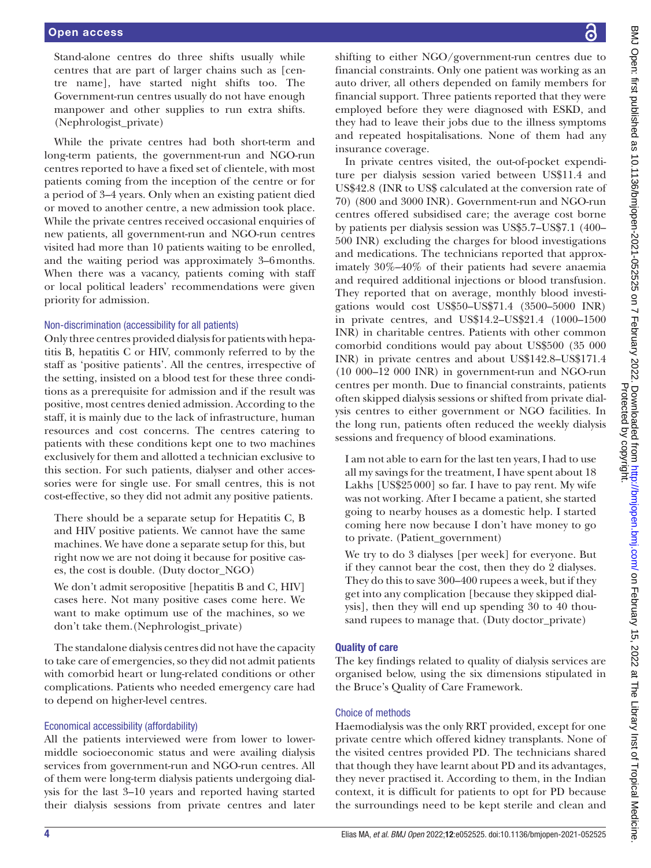Stand-alone centres do three shifts usually while centres that are part of larger chains such as [centre name], have started night shifts too. The Government-run centres usually do not have enough manpower and other supplies to run extra shifts. (Nephrologist\_private)

While the private centres had both short-term and long-term patients, the government-run and NGO-run centres reported to have a fixed set of clientele, with most patients coming from the inception of the centre or for a period of 3–4 years. Only when an existing patient died or moved to another centre, a new admission took place. While the private centres received occasional enquiries of new patients, all government-run and NGO-run centres visited had more than 10 patients waiting to be enrolled, and the waiting period was approximately 3–6months. When there was a vacancy, patients coming with staff or local political leaders' recommendations were given priority for admission.

#### Non-discrimination (accessibility for all patients)

Only three centres provided dialysis for patients with hepatitis B, hepatitis C or HIV, commonly referred to by the staff as 'positive patients'. All the centres, irrespective of the setting, insisted on a blood test for these three conditions as a prerequisite for admission and if the result was positive, most centres denied admission. According to the staff, it is mainly due to the lack of infrastructure, human resources and cost concerns. The centres catering to patients with these conditions kept one to two machines exclusively for them and allotted a technician exclusive to this section. For such patients, dialyser and other accessories were for single use. For small centres, this is not cost-effective, so they did not admit any positive patients.

There should be a separate setup for Hepatitis C, B and HIV positive patients. We cannot have the same machines. We have done a separate setup for this, but right now we are not doing it because for positive cases, the cost is double. (Duty doctor\_NGO)

We don't admit seropositive [hepatitis B and C, HIV] cases here. Not many positive cases come here. We want to make optimum use of the machines, so we don't take them.(Nephrologist\_private)

The standalone dialysis centres did not have the capacity to take care of emergencies, so they did not admit patients with comorbid heart or lung-related conditions or other complications. Patients who needed emergency care had to depend on higher-level centres.

## Economical accessibility (affordability)

All the patients interviewed were from lower to lowermiddle socioeconomic status and were availing dialysis services from government-run and NGO-run centres. All of them were long-term dialysis patients undergoing dialysis for the last 3–10 years and reported having started their dialysis sessions from private centres and later

shifting to either NGO/government-run centres due to financial constraints. Only one patient was working as an auto driver, all others depended on family members for financial support. Three patients reported that they were employed before they were diagnosed with ESKD, and they had to leave their jobs due to the illness symptoms and repeated hospitalisations. None of them had any insurance coverage.

In private centres visited, the out-of-pocket expenditure per dialysis session varied between US\$11.4 and US\$42.8 (INR to US\$ calculated at the conversion rate of 70) (800 and 3000 INR). Government-run and NGO-run centres offered subsidised care; the average cost borne by patients per dialysis session was US\$5.7–US\$7.1 (400– 500 INR) excluding the charges for blood investigations and medications. The technicians reported that approximately 30%–40% of their patients had severe anaemia and required additional injections or blood transfusion. They reported that on average, monthly blood investigations would cost US\$50–US\$71.4 (3500–5000 INR) in private centres, and US\$14.2–US\$21.4 (1000–1500 INR) in charitable centres. Patients with other common comorbid conditions would pay about US\$500 (35 000 INR) in private centres and about US\$142.8–US\$171.4 (10 000–12 000 INR) in government-run and NGO-run centres per month. Due to financial constraints, patients often skipped dialysis sessions or shifted from private dialysis centres to either government or NGO facilities. In the long run, patients often reduced the weekly dialysis sessions and frequency of blood examinations.

I am not able to earn for the last ten years, I had to use all my savings for the treatment, I have spent about 18 Lakhs [US\$25000] so far. I have to pay rent. My wife was not working. After I became a patient, she started going to nearby houses as a domestic help. I started coming here now because I don't have money to go to private. (Patient\_government)

We try to do 3 dialyses [per week] for everyone. But if they cannot bear the cost, then they do 2 dialyses. They do this to save 300–400 rupees a week, but if they get into any complication [because they skipped dialysis], then they will end up spending 30 to 40 thousand rupees to manage that. (Duty doctor\_private)

#### Quality of care

The key findings related to quality of dialysis services are organised below, using the six dimensions stipulated in the Bruce's Quality of Care Framework.

#### Choice of methods

Haemodialysis was the only RRT provided, except for one private centre which offered kidney transplants. None of the visited centres provided PD. The technicians shared that though they have learnt about PD and its advantages, they never practised it. According to them, in the Indian context, it is difficult for patients to opt for PD because the surroundings need to be kept sterile and clean and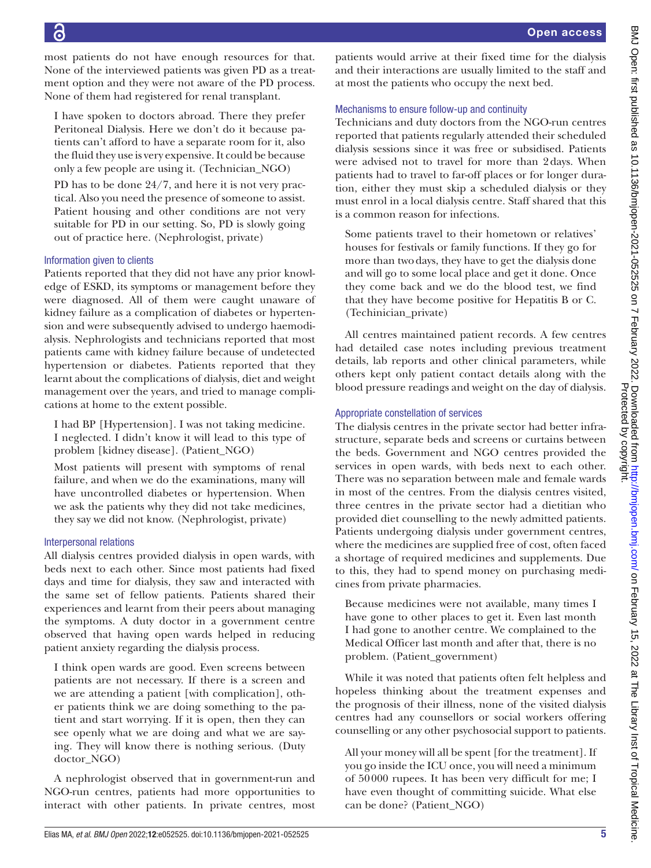most patients do not have enough resources for that. None of the interviewed patients was given PD as a treatment option and they were not aware of the PD process. None of them had registered for renal transplant.

I have spoken to doctors abroad. There they prefer Peritoneal Dialysis. Here we don't do it because patients can't afford to have a separate room for it, also the fluid they use is very expensive. It could be because only a few people are using it. (Technician\_NGO)

PD has to be done 24/7, and here it is not very practical. Also you need the presence of someone to assist. Patient housing and other conditions are not very suitable for PD in our setting. So, PD is slowly going out of practice here. (Nephrologist, private)

## Information given to clients

Patients reported that they did not have any prior knowledge of ESKD, its symptoms or management before they were diagnosed. All of them were caught unaware of kidney failure as a complication of diabetes or hypertension and were subsequently advised to undergo haemodialysis. Nephrologists and technicians reported that most patients came with kidney failure because of undetected hypertension or diabetes. Patients reported that they learnt about the complications of dialysis, diet and weight management over the years, and tried to manage complications at home to the extent possible.

I had BP [Hypertension]. I was not taking medicine. I neglected. I didn't know it will lead to this type of problem [kidney disease]. (Patient\_NGO)

Most patients will present with symptoms of renal failure, and when we do the examinations, many will have uncontrolled diabetes or hypertension. When we ask the patients why they did not take medicines, they say we did not know. (Nephrologist, private)

## Interpersonal relations

All dialysis centres provided dialysis in open wards, with beds next to each other. Since most patients had fixed days and time for dialysis, they saw and interacted with the same set of fellow patients. Patients shared their experiences and learnt from their peers about managing the symptoms. A duty doctor in a government centre observed that having open wards helped in reducing patient anxiety regarding the dialysis process.

I think open wards are good. Even screens between patients are not necessary. If there is a screen and we are attending a patient [with complication], other patients think we are doing something to the patient and start worrying. If it is open, then they can see openly what we are doing and what we are saying. They will know there is nothing serious. (Duty doctor\_NGO)

A nephrologist observed that in government-run and NGO-run centres, patients had more opportunities to interact with other patients. In private centres, most patients would arrive at their fixed time for the dialysis and their interactions are usually limited to the staff and at most the patients who occupy the next bed.

## Mechanisms to ensure follow-up and continuity

Technicians and duty doctors from the NGO-run centres reported that patients regularly attended their scheduled dialysis sessions since it was free or subsidised. Patients were advised not to travel for more than 2days. When patients had to travel to far-off places or for longer duration, either they must skip a scheduled dialysis or they must enrol in a local dialysis centre. Staff shared that this is a common reason for infections.

Some patients travel to their hometown or relatives' houses for festivals or family functions. If they go for more than twodays, they have to get the dialysis done and will go to some local place and get it done. Once they come back and we do the blood test, we find that they have become positive for Hepatitis B or C. (Techinician\_private)

All centres maintained patient records. A few centres had detailed case notes including previous treatment details, lab reports and other clinical parameters, while others kept only patient contact details along with the blood pressure readings and weight on the day of dialysis.

## Appropriate constellation of services

The dialysis centres in the private sector had better infrastructure, separate beds and screens or curtains between the beds. Government and NGO centres provided the services in open wards, with beds next to each other. There was no separation between male and female wards in most of the centres. From the dialysis centres visited, three centres in the private sector had a dietitian who provided diet counselling to the newly admitted patients. Patients undergoing dialysis under government centres, where the medicines are supplied free of cost, often faced a shortage of required medicines and supplements. Due to this, they had to spend money on purchasing medicines from private pharmacies.

Because medicines were not available, many times I have gone to other places to get it. Even last month I had gone to another centre. We complained to the Medical Officer last month and after that, there is no problem. (Patient\_government)

While it was noted that patients often felt helpless and hopeless thinking about the treatment expenses and the prognosis of their illness, none of the visited dialysis centres had any counsellors or social workers offering counselling or any other psychosocial support to patients.

All your money will all be spent [for the treatment]. If you go inside the ICU once, you will need a minimum of 50000 rupees. It has been very difficult for me; I have even thought of committing suicide. What else can be done? (Patient\_NGO)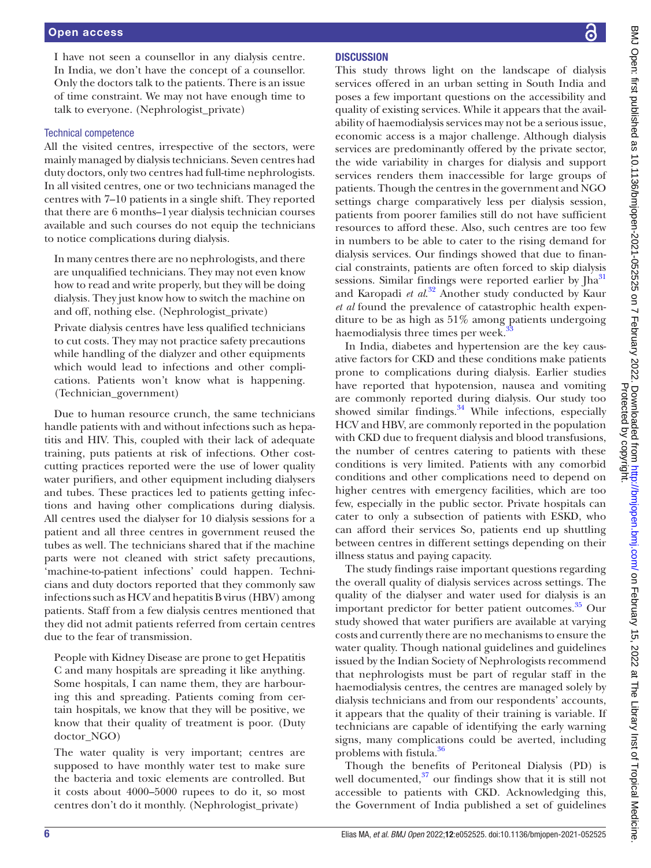I have not seen a counsellor in any dialysis centre. In India, we don't have the concept of a counsellor. Only the doctors talk to the patients. There is an issue of time constraint. We may not have enough time to talk to everyone. (Nephrologist\_private)

#### Technical competence

All the visited centres, irrespective of the sectors, were mainly managed by dialysis technicians. Seven centres had duty doctors, only two centres had full-time nephrologists. In all visited centres, one or two technicians managed the centres with 7–10 patients in a single shift. They reported that there are 6 months–1year dialysis technician courses available and such courses do not equip the technicians to notice complications during dialysis.

In many centres there are no nephrologists, and there are unqualified technicians. They may not even know how to read and write properly, but they will be doing dialysis. They just know how to switch the machine on and off, nothing else. (Nephrologist\_private)

Private dialysis centres have less qualified technicians to cut costs. They may not practice safety precautions while handling of the dialyzer and other equipments which would lead to infections and other complications. Patients won't know what is happening. (Technician\_government)

Due to human resource crunch, the same technicians handle patients with and without infections such as hepatitis and HIV. This, coupled with their lack of adequate training, puts patients at risk of infections. Other costcutting practices reported were the use of lower quality water purifiers, and other equipment including dialysers and tubes. These practices led to patients getting infections and having other complications during dialysis. All centres used the dialyser for 10 dialysis sessions for a patient and all three centres in government reused the tubes as well. The technicians shared that if the machine parts were not cleaned with strict safety precautions, 'machine-to-patient infections' could happen. Technicians and duty doctors reported that they commonly saw infections such as HCV and hepatitis B virus (HBV) among patients. Staff from a few dialysis centres mentioned that they did not admit patients referred from certain centres due to the fear of transmission.

People with Kidney Disease are prone to get Hepatitis C and many hospitals are spreading it like anything. Some hospitals, I can name them, they are harbouring this and spreading. Patients coming from certain hospitals, we know that they will be positive, we know that their quality of treatment is poor. (Duty doctor\_NGO)

The water quality is very important; centres are supposed to have monthly water test to make sure the bacteria and toxic elements are controlled. But it costs about 4000–5000 rupees to do it, so most centres don't do it monthly. (Nephrologist\_private)

## **DISCUSSION**

This study throws light on the landscape of dialysis services offered in an urban setting in South India and poses a few important questions on the accessibility and quality of existing services. While it appears that the availability of haemodialysis services may not be a serious issue, economic access is a major challenge. Although dialysis services are predominantly offered by the private sector, the wide variability in charges for dialysis and support services renders them inaccessible for large groups of patients. Though the centres in the government and NGO settings charge comparatively less per dialysis session, patients from poorer families still do not have sufficient resources to afford these. Also, such centres are too few in numbers to be able to cater to the rising demand for dialysis services. Our findings showed that due to financial constraints, patients are often forced to skip dialysis sessions. Similar findings were reported earlier by  $[ha<sup>31</sup>]$  $[ha<sup>31</sup>]$  $[ha<sup>31</sup>]$ and Karopadi *et al*. [32](#page-7-19) Another study conducted by Kaur *et al* found the prevalence of catastrophic health expenditure to be as high as 51% among patients undergoing haemodialysis three times per week.

In India, diabetes and hypertension are the key causative factors for CKD and these conditions make patients prone to complications during dialysis. Earlier studies have reported that hypotension, nausea and vomiting are commonly reported during dialysis. Our study too showed similar findings. $34$  While infections, especially HCV and HBV, are commonly reported in the population with CKD due to frequent dialysis and blood transfusions, the number of centres catering to patients with these conditions is very limited. Patients with any comorbid conditions and other complications need to depend on higher centres with emergency facilities, which are too few, especially in the public sector. Private hospitals can cater to only a subsection of patients with ESKD, who can afford their services So, patients end up shuttling between centres in different settings depending on their illness status and paying capacity.

The study findings raise important questions regarding the overall quality of dialysis services across settings. The quality of the dialyser and water used for dialysis is an important predictor for better patient outcomes.<sup>35</sup> Our study showed that water purifiers are available at varying costs and currently there are no mechanisms to ensure the water quality. Though national guidelines and guidelines issued by the Indian Society of Nephrologists recommend that nephrologists must be part of regular staff in the haemodialysis centres, the centres are managed solely by dialysis technicians and from our respondents' accounts, it appears that the quality of their training is variable. If technicians are capable of identifying the early warning signs, many complications could be averted, including problems with fistula.<sup>36</sup>

Though the benefits of Peritoneal Dialysis (PD) is well documented, $37$  our findings show that it is still not accessible to patients with CKD. Acknowledging this, the Government of India published a set of guidelines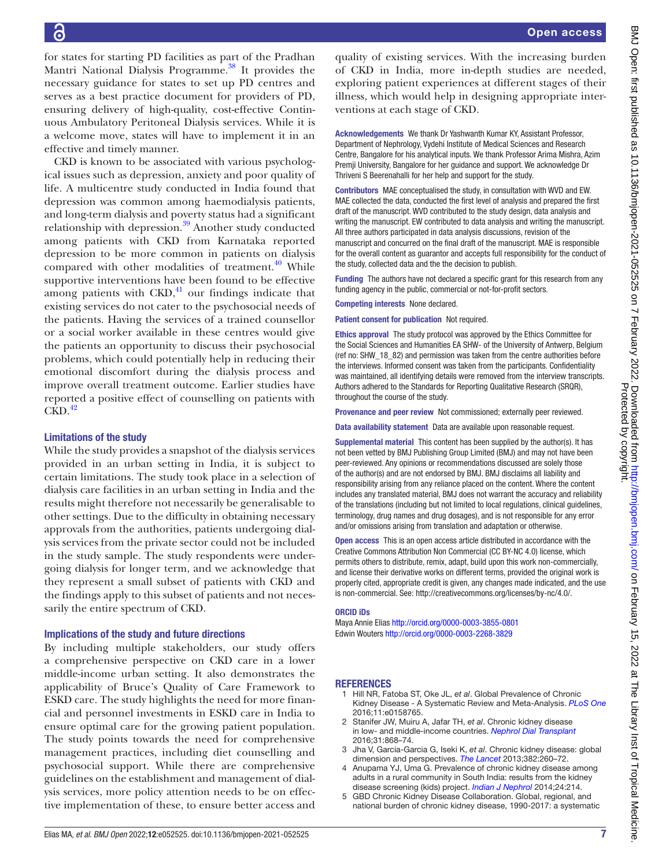6

for states for starting PD facilities as part of the Pradhan Mantri National Dialysis Programme.<sup>38</sup> It provides the necessary guidance for states to set up PD centres and serves as a best practice document for providers of PD, ensuring delivery of high-quality, cost-effective Continuous Ambulatory Peritoneal Dialysis services. While it is a welcome move, states will have to implement it in an effective and timely manner.

CKD is known to be associated with various psychological issues such as depression, anxiety and poor quality of life. A multicentre study conducted in India found that depression was common among haemodialysis patients, and long-term dialysis and poverty status had a significant relationship with depression.<sup>39</sup> Another study conducted among patients with CKD from Karnataka reported depression to be more common in patients on dialysis compared with other modalities of treatment. $40$  While supportive interventions have been found to be effective among patients with  $CKD<sub>1</sub><sup>41</sup>$  $CKD<sub>1</sub><sup>41</sup>$  $CKD<sub>1</sub><sup>41</sup>$  our findings indicate that existing services do not cater to the psychosocial needs of the patients. Having the services of a trained counsellor or a social worker available in these centres would give the patients an opportunity to discuss their psychosocial problems, which could potentially help in reducing their emotional discomfort during the dialysis process and improve overall treatment outcome. Earlier studies have reported a positive effect of counselling on patients with  $CKD.<sup>42</sup>$  $CKD.<sup>42</sup>$  $CKD.<sup>42</sup>$ 

## Limitations of the study

While the study provides a snapshot of the dialysis services provided in an urban setting in India, it is subject to certain limitations. The study took place in a selection of dialysis care facilities in an urban setting in India and the results might therefore not necessarily be generalisable to other settings. Due to the difficulty in obtaining necessary approvals from the authorities, patients undergoing dialysis services from the private sector could not be included in the study sample. The study respondents were undergoing dialysis for longer term, and we acknowledge that they represent a small subset of patients with CKD and the findings apply to this subset of patients and not necessarily the entire spectrum of CKD.

## Implications of the study and future directions

By including multiple stakeholders, our study offers a comprehensive perspective on CKD care in a lower middle-income urban setting. It also demonstrates the applicability of Bruce's Quality of Care Framework to ESKD care. The study highlights the need for more financial and personnel investments in ESKD care in India to ensure optimal care for the growing patient population. The study points towards the need for comprehensive management practices, including diet counselling and psychosocial support. While there are comprehensive guidelines on the establishment and management of dialysis services, more policy attention needs to be on effective implementation of these, to ensure better access and quality of existing services. With the increasing burden of CKD in India, more in-depth studies are needed, exploring patient experiences at different stages of their illness, which would help in designing appropriate interventions at each stage of CKD.

Acknowledgements We thank Dr Yashwanth Kumar KY, Assistant Professor, Department of Nephrology, Vydehi Institute of Medical Sciences and Research Centre, Bangalore for his analytical inputs. We thank Professor Arima Mishra, Azim Premji University, Bangalore for her guidance and support. We acknowledge Dr Thriveni S Beerenahalli for her help and support for the study.

Contributors MAE conceptualised the study, in consultation with WVD and EW. MAE collected the data, conducted the first level of analysis and prepared the first draft of the manuscript. WVD contributed to the study design, data analysis and writing the manuscript. EW contributed to data analysis and writing the manuscript. All three authors participated in data analysis discussions, revision of the manuscript and concurred on the final draft of the manuscript. MAE is responsible for the overall content as guarantor and accepts full responsibility for the conduct of the study, collected data and the the decision to publish.

Funding The authors have not declared a specific grant for this research from any funding agency in the public, commercial or not-for-profit sectors.

Competing interests None declared.

Patient consent for publication Not required.

Ethics approval The study protocol was approved by the Ethics Committee for the Social Sciences and Humanities EA SHW- of the University of Antwerp, Belgium (ref no: SHW\_18\_82) and permission was taken from the centre authorities before the interviews. Informed consent was taken from the participants. Confidentiality was maintained, all identifying details were removed from the interview transcripts. Authors adhered to the Standards for Reporting Qualitative Research (SRQR), throughout the course of the study.

Provenance and peer review Not commissioned; externally peer reviewed.

Data availability statement Data are available upon reasonable request.

Supplemental material This content has been supplied by the author(s). It has not been vetted by BMJ Publishing Group Limited (BMJ) and may not have been peer-reviewed. Any opinions or recommendations discussed are solely those of the author(s) and are not endorsed by BMJ. BMJ disclaims all liability and responsibility arising from any reliance placed on the content. Where the content includes any translated material, BMJ does not warrant the accuracy and reliability of the translations (including but not limited to local regulations, clinical guidelines, terminology, drug names and drug dosages), and is not responsible for any error and/or omissions arising from translation and adaptation or otherwise.

Open access This is an open access article distributed in accordance with the Creative Commons Attribution Non Commercial (CC BY-NC 4.0) license, which permits others to distribute, remix, adapt, build upon this work non-commercially, and license their derivative works on different terms, provided the original work is properly cited, appropriate credit is given, any changes made indicated, and the use is non-commercial. See: [http://creativecommons.org/licenses/by-nc/4.0/.](http://creativecommons.org/licenses/by-nc/4.0/)

## ORCID iDs

Maya Annie Elias <http://orcid.org/0000-0003-3855-0801> Edwin Wouters <http://orcid.org/0000-0003-2268-3829>

## REFERENCES

- <span id="page-6-0"></span>1 Hill NR, Fatoba ST, Oke JL, *et al*. Global Prevalence of Chronic Kidney Disease - A Systematic Review and Meta-Analysis. *[PLoS One](http://dx.doi.org/10.1371/journal.pone.0158765)* 2016;11:e0158765.
- <span id="page-6-1"></span>2 Stanifer JW, Muiru A, Jafar TH, *et al*. Chronic kidney disease in low- and middle-income countries. *[Nephrol Dial Transplant](http://dx.doi.org/10.1093/ndt/gfv466)* 2016;31:868–74.
- 3 Jha V, Garcia-Garcia G, Iseki K, *et al*. Chronic kidney disease: global dimension and perspectives. *[The Lancet](http://dx.doi.org/10.1016/S0140-6736(13)60687-X)* 2013;382:260–72.
- <span id="page-6-2"></span>Anupama YJ, Uma G. Prevalence of chronic kidney disease among adults in a rural community in South India: results from the kidney disease screening (kids) project. *[Indian J Nephrol](http://dx.doi.org/10.4103/0971-4065.132990)* 2014;24:214.
- <span id="page-6-3"></span>5 GBD Chronic Kidney Disease Collaboration. Global, regional, and national burden of chronic kidney disease, 1990-2017: a systematic